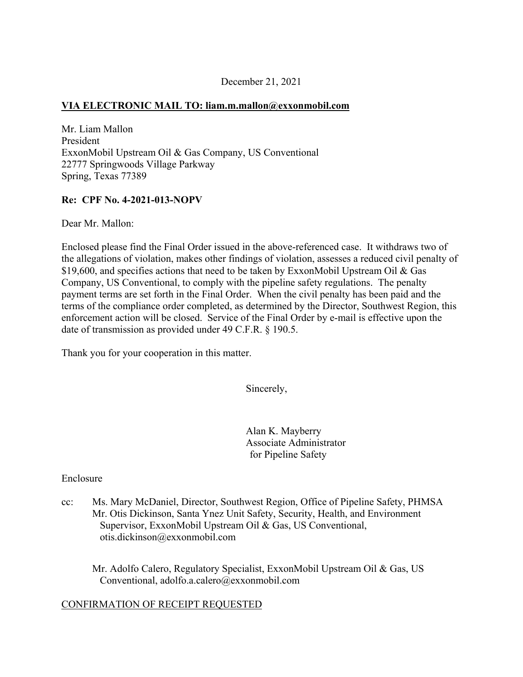### December 21, 2021

## **VIA ELECTRONIC MAIL TO: [liam.m.mallon@exxonmobil.com](mailto:liam.m.mallon@exxonmobil.com)**

Mr. Liam Mallon President ExxonMobil Upstream Oil & Gas Company, US Conventional 22777 Springwoods Village Parkway Spring, Texas 77389

## **Re: CPF No. 4-2021-013-NOPV**

Dear Mr. Mallon:

Enclosed please find the Final Order issued in the above-referenced case. It withdraws two of the allegations of violation, makes other findings of violation, assesses a reduced civil penalty of \$19,600, and specifies actions that need to be taken by ExxonMobil Upstream Oil & Gas Company, US Conventional, to comply with the pipeline safety regulations. The penalty payment terms are set forth in the Final Order. When the civil penalty has been paid and the terms of the compliance order completed, as determined by the Director, Southwest Region, this enforcement action will be closed. Service of the Final Order by e-mail is effective upon the date of transmission as provided under 49 C.F.R. § 190.5.

Thank you for your cooperation in this matter.

Sincerely,

Alan K. Mayberry Associate Administrator for Pipeline Safety

#### Enclosure

cc: Ms. Mary McDaniel, Director, Southwest Region, Office of Pipeline Safety, PHMSA Mr. Otis Dickinson, Santa Ynez Unit Safety, Security, Health, and Environment Supervisor, ExxonMobil Upstream Oil & Gas, US Conventional, [otis.dickinson@exxonmobil.com](mailto:otis.dickinson@exxonmobil.com)

Mr. Adolfo Calero, Regulatory Specialist, ExxonMobil Upstream Oil & Gas, US Conventional, [adolfo.a.calero@exxonmobil.com](mailto:adolfo.a.calero@exxonmobil.com)

## CONFIRMATION OF RECEIPT REQUESTED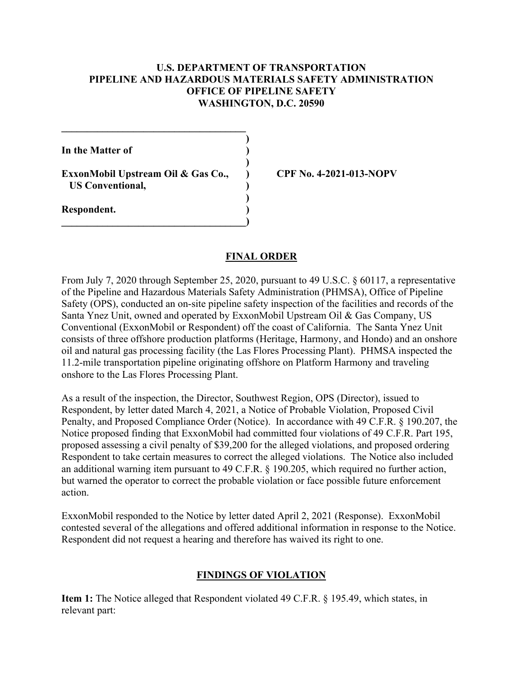#### **U.S. DEPARTMENT OF TRANSPORTATION PIPELINE AND HAZARDOUS MATERIALS SAFETY ADMINISTRATION OFFICE OF PIPELINE SAFETY WASHINGTON, D.C. 20590**

**)** 

**)** 

**)** 

**In the Matter of )** 

**ExxonMobil Upstream Oil & Gas Co., ) CPF No. 4-2021-013-NOPV US Conventional, )** 

**\_\_\_\_\_\_\_\_\_\_\_\_\_\_\_\_\_\_\_\_\_\_\_\_\_\_\_\_\_\_\_\_\_\_\_\_)** 

**\_\_\_\_\_\_\_\_\_\_\_\_\_\_\_\_\_\_\_\_\_\_\_\_\_\_\_\_\_\_\_\_\_\_\_\_** 

**Respondent. )** 

## **FINAL ORDER**

From July 7, 2020 through September 25, 2020, pursuant to 49 U.S.C. § 60117, a representative of the Pipeline and Hazardous Materials Safety Administration (PHMSA), Office of Pipeline Safety (OPS), conducted an on-site pipeline safety inspection of the facilities and records of the Santa Ynez Unit, owned and operated by ExxonMobil Upstream Oil & Gas Company, US Conventional (ExxonMobil or Respondent) off the coast of California. The Santa Ynez Unit consists of three offshore production platforms (Heritage, Harmony, and Hondo) and an onshore oil and natural gas processing facility (the Las Flores Processing Plant). PHMSA inspected the 11.2-mile transportation pipeline originating offshore on Platform Harmony and traveling onshore to the Las Flores Processing Plant.

As a result of the inspection, the Director, Southwest Region, OPS (Director), issued to Respondent, by letter dated March 4, 2021, a Notice of Probable Violation, Proposed Civil Penalty, and Proposed Compliance Order (Notice). In accordance with 49 C.F.R. § 190.207, the Notice proposed finding that ExxonMobil had committed four violations of 49 C.F.R. Part 195, proposed assessing a civil penalty of \$39,200 for the alleged violations, and proposed ordering Respondent to take certain measures to correct the alleged violations. The Notice also included an additional warning item pursuant to 49 C.F.R. § 190.205, which required no further action, but warned the operator to correct the probable violation or face possible future enforcement action.

ExxonMobil responded to the Notice by letter dated April 2, 2021 (Response). ExxonMobil contested several of the allegations and offered additional information in response to the Notice. Respondent did not request a hearing and therefore has waived its right to one.

## **FINDINGS OF VIOLATION**

**Item 1:** The Notice alleged that Respondent violated 49 C.F.R. § 195.49, which states, in relevant part: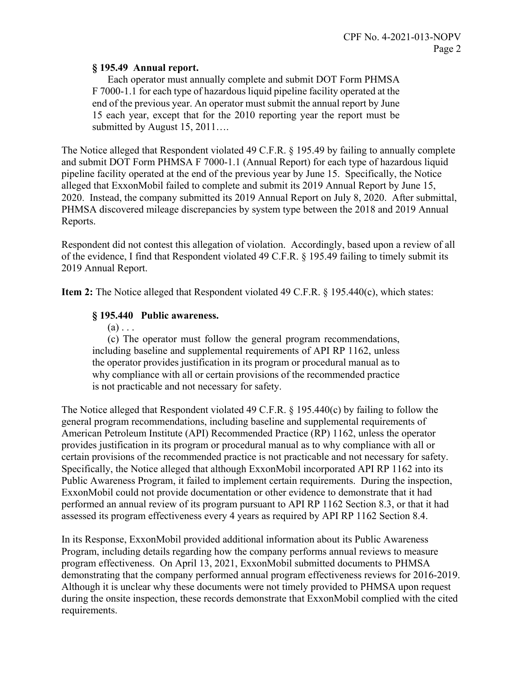#### **§ 195.49 Annual report.**

Each operator must annually complete and submit DOT Form PHMSA F 7000-1.1 for each type of hazardous liquid pipeline facility operated at the end of the previous year. An operator must submit the annual report by June 15 each year, except that for the 2010 reporting year the report must be submitted by August 15, 2011...

The Notice alleged that Respondent violated 49 C.F.R. § 195.49 by failing to annually complete and submit DOT Form PHMSA F 7000-1.1 (Annual Report) for each type of hazardous liquid pipeline facility operated at the end of the previous year by June 15. Specifically, the Notice alleged that ExxonMobil failed to complete and submit its 2019 Annual Report by June 15, 2020. Instead, the company submitted its 2019 Annual Report on July 8, 2020. After submittal, PHMSA discovered mileage discrepancies by system type between the 2018 and 2019 Annual Reports.

Respondent did not contest this allegation of violation. Accordingly, based upon a review of all of the evidence, I find that Respondent violated 49 C.F.R. § 195.49 failing to timely submit its 2019 Annual Report.

**Item 2:** The Notice alleged that Respondent violated 49 C.F.R. § 195.440(c), which states:

### **§ 195.440 Public awareness.**

 $(a) \ldots$ 

(c) The operator must follow the general program recommendations, including baseline and supplemental requirements of API RP 1162, unless the operator provides justification in its program or procedural manual as to why compliance with all or certain provisions of the recommended practice is not practicable and not necessary for safety.

The Notice alleged that Respondent violated 49 C.F.R. § 195.440(c) by failing to follow the general program recommendations, including baseline and supplemental requirements of American Petroleum Institute (API) Recommended Practice (RP) 1162, unless the operator provides justification in its program or procedural manual as to why compliance with all or certain provisions of the recommended practice is not practicable and not necessary for safety. Specifically, the Notice alleged that although ExxonMobil incorporated API RP 1162 into its Public Awareness Program, it failed to implement certain requirements. During the inspection, ExxonMobil could not provide documentation or other evidence to demonstrate that it had performed an annual review of its program pursuant to API RP 1162 Section 8.3, or that it had assessed its program effectiveness every 4 years as required by API RP 1162 Section 8.4.

In its Response, ExxonMobil provided additional information about its Public Awareness Program, including details regarding how the company performs annual reviews to measure program effectiveness. On April 13, 2021, ExxonMobil submitted documents to PHMSA demonstrating that the company performed annual program effectiveness reviews for 2016-2019. Although it is unclear why these documents were not timely provided to PHMSA upon request during the onsite inspection, these records demonstrate that ExxonMobil complied with the cited requirements.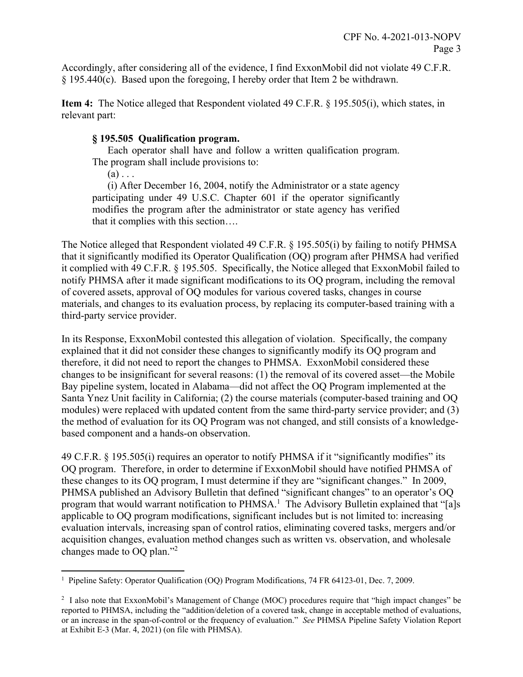Accordingly, after considering all of the evidence, I find ExxonMobil did not violate 49 C.F.R. § 195.440(c). Based upon the foregoing, I hereby order that Item 2 be withdrawn.

**Item 4:** The Notice alleged that Respondent violated 49 C.F.R. § 195.505(i), which states, in relevant part:

### **§ 195.505 Qualification program.**

Each operator shall have and follow a written qualification program. The program shall include provisions to:

 $(a) \ldots$ 

(i) After December 16, 2004, notify the Administrator or a state agency participating under 49 U.S.C. Chapter 601 if the operator significantly modifies the program after the administrator or state agency has verified that it complies with this section….

The Notice alleged that Respondent violated 49 C.F.R. § 195.505(i) by failing to notify PHMSA that it significantly modified its Operator Qualification (OQ) program after PHMSA had verified it complied with 49 C.F.R. § 195.505. Specifically, the Notice alleged that ExxonMobil failed to notify PHMSA after it made significant modifications to its OQ program, including the removal of covered assets, approval of OQ modules for various covered tasks, changes in course materials, and changes to its evaluation process, by replacing its computer-based training with a third-party service provider.

In its Response, ExxonMobil contested this allegation of violation. Specifically, the company explained that it did not consider these changes to significantly modify its OQ program and therefore, it did not need to report the changes to PHMSA. ExxonMobil considered these changes to be insignificant for several reasons: (1) the removal of its covered asset—the Mobile Bay pipeline system, located in Alabama—did not affect the OQ Program implemented at the Santa Ynez Unit facility in California; (2) the course materials (computer-based training and OQ modules) were replaced with updated content from the same third-party service provider; and (3) the method of evaluation for its OQ Program was not changed, and still consists of a knowledgebased component and a hands-on observation.

49 C.F.R. § 195.505(i) requires an operator to notify PHMSA if it "significantly modifies" its OQ program. Therefore, in order to determine if ExxonMobil should have notified PHMSA of these changes to its OQ program, I must determine if they are "significant changes." In 2009, PHMSA published an Advisory Bulletin that defined "significant changes" to an operator's OQ program that would warrant notification to PHMSA.<sup>1</sup> The Advisory Bulletin explained that "[a]s applicable to OQ program modifications, significant includes but is not limited to: increasing evaluation intervals, increasing span of control ratios, eliminating covered tasks, mergers and/or acquisition changes, evaluation method changes such as written vs. observation, and wholesale changes made to OQ plan."<sup>2</sup>

<sup>1</sup> <sup>1</sup> Pipeline Safety: Operator Qualification (OQ) Program Modifications, 74 FR 64123-01, Dec. 7, 2009.

<sup>&</sup>lt;sup>2</sup> I also note that ExxonMobil's Management of Change (MOC) procedures require that "high impact changes" be reported to PHMSA, including the "addition/deletion of a covered task, change in acceptable method of evaluations, or an increase in the span-of-control or the frequency of evaluation." *See* PHMSA Pipeline Safety Violation Report at Exhibit E-3 (Mar. 4, 2021) (on file with PHMSA).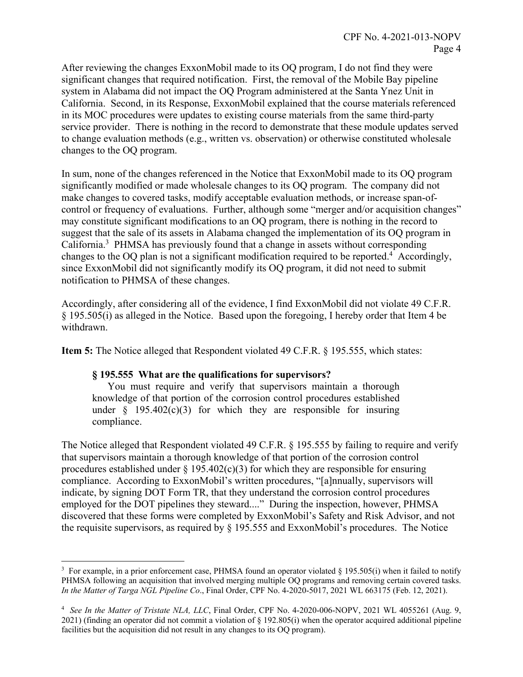After reviewing the changes ExxonMobil made to its OQ program, I do not find they were significant changes that required notification. First, the removal of the Mobile Bay pipeline system in Alabama did not impact the OQ Program administered at the Santa Ynez Unit in California. Second, in its Response, ExxonMobil explained that the course materials referenced in its MOC procedures were updates to existing course materials from the same third-party service provider. There is nothing in the record to demonstrate that these module updates served to change evaluation methods (e.g., written vs. observation) or otherwise constituted wholesale changes to the OQ program.

In sum, none of the changes referenced in the Notice that ExxonMobil made to its OQ program significantly modified or made wholesale changes to its OQ program. The company did not make changes to covered tasks, modify acceptable evaluation methods, or increase span-ofcontrol or frequency of evaluations. Further, although some "merger and/or acquisition changes" may constitute significant modifications to an OQ program, there is nothing in the record to suggest that the sale of its assets in Alabama changed the implementation of its OQ program in California.<sup>3</sup> PHMSA has previously found that a change in assets without corresponding changes to the OQ plan is not a significant modification required to be reported.<sup>4</sup> Accordingly, since ExxonMobil did not significantly modify its OQ program, it did not need to submit notification to PHMSA of these changes.

Accordingly, after considering all of the evidence, I find ExxonMobil did not violate 49 C.F.R. § 195.505(i) as alleged in the Notice. Based upon the foregoing, I hereby order that Item 4 be withdrawn.

**Item 5:** The Notice alleged that Respondent violated 49 C.F.R. § 195.555, which states:

#### **§ 195.555 What are the qualifications for supervisors?**

 $\overline{a}$ 

You must require and verify that supervisors maintain a thorough knowledge of that portion of the corrosion control procedures established under  $\frac{1}{2}$  195.402(c)(3) for which they are responsible for insuring compliance.

The Notice alleged that Respondent violated 49 C.F.R. § 195.555 by failing to require and verify that supervisors maintain a thorough knowledge of that portion of the corrosion control procedures established under  $\S 195.402(c)(3)$  for which they are responsible for ensuring compliance. According to ExxonMobil's written procedures, "[a]nnually, supervisors will indicate, by signing DOT Form TR, that they understand the corrosion control procedures employed for the DOT pipelines they steward...." During the inspection, however, PHMSA discovered that these forms were completed by ExxonMobil's Safety and Risk Advisor, and not the requisite supervisors, as required by § 195.555 and ExxonMobil's procedures. The Notice

<sup>&</sup>lt;sup>3</sup> For example, in a prior enforcement case, PHMSA found an operator violated § 195.505(i) when it failed to notify PHMSA following an acquisition that involved merging multiple OQ programs and removing certain covered tasks. *In the Matter of Targa NGL Pipeline Co*., Final Order, CPF No. 4-2020-5017, 2021 WL 663175 (Feb. 12, 2021).

 <sup>4</sup>*See In the Matter of Tristate NLA, LLC*, Final Order, CPF No. 4-2020-006-NOPV, 2021 WL 4055261 (Aug. 9, 2021) (finding an operator did not commit a violation of § 192.805(i) when the operator acquired additional pipeline facilities but the acquisition did not result in any changes to its OQ program).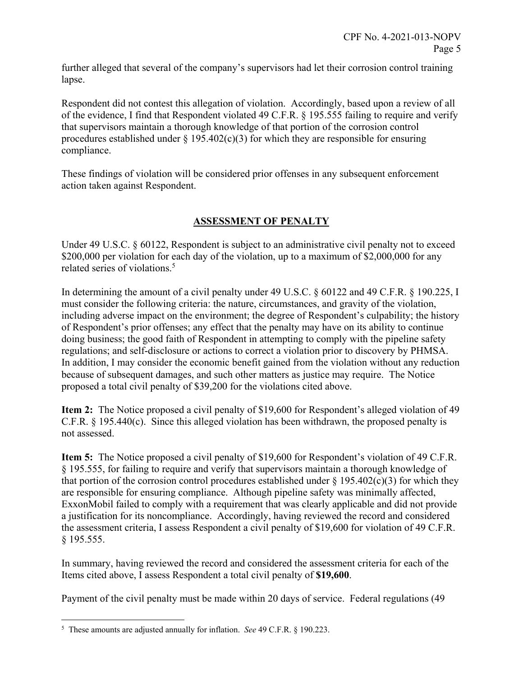further alleged that several of the company's supervisors had let their corrosion control training lapse.

Respondent did not contest this allegation of violation. Accordingly, based upon a review of all of the evidence, I find that Respondent violated 49 C.F.R. § 195.555 failing to require and verify that supervisors maintain a thorough knowledge of that portion of the corrosion control procedures established under  $\S$  195.402(c)(3) for which they are responsible for ensuring compliance.

These findings of violation will be considered prior offenses in any subsequent enforcement action taken against Respondent.

# **ASSESSMENT OF PENALTY**

Under 49 U.S.C. § 60122, Respondent is subject to an administrative civil penalty not to exceed \$200,000 per violation for each day of the violation, up to a maximum of \$2,000,000 for any related series of violations.<sup>5</sup>

In determining the amount of a civil penalty under 49 U.S.C. § 60122 and 49 C.F.R. § 190.225, I must consider the following criteria: the nature, circumstances, and gravity of the violation, including adverse impact on the environment; the degree of Respondent's culpability; the history of Respondent's prior offenses; any effect that the penalty may have on its ability to continue doing business; the good faith of Respondent in attempting to comply with the pipeline safety regulations; and self-disclosure or actions to correct a violation prior to discovery by PHMSA. In addition, I may consider the economic benefit gained from the violation without any reduction because of subsequent damages, and such other matters as justice may require. The Notice proposed a total civil penalty of \$39,200 for the violations cited above.

**Item 2:** The Notice proposed a civil penalty of \$19,600 for Respondent's alleged violation of 49 C.F.R. § 195.440(c). Since this alleged violation has been withdrawn, the proposed penalty is not assessed.

**Item 5:** The Notice proposed a civil penalty of \$19,600 for Respondent's violation of 49 C.F.R. § 195.555, for failing to require and verify that supervisors maintain a thorough knowledge of that portion of the corrosion control procedures established under  $\S 195.402(c)(3)$  for which they are responsible for ensuring compliance. Although pipeline safety was minimally affected, ExxonMobil failed to comply with a requirement that was clearly applicable and did not provide a justification for its noncompliance. Accordingly, having reviewed the record and considered the assessment criteria, I assess Respondent a civil penalty of \$19,600 for violation of 49 C.F.R. § 195.555.

In summary, having reviewed the record and considered the assessment criteria for each of the Items cited above, I assess Respondent a total civil penalty of **\$19,600**.

Payment of the civil penalty must be made within 20 days of service. Federal regulations (49

<sup>&</sup>lt;u>.</u> 5 These amounts are adjusted annually for inflation. *See* 49 C.F.R. § 190.223.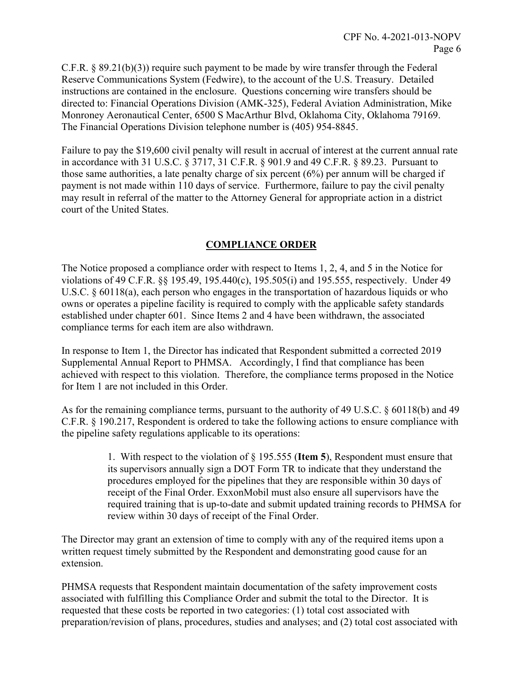C.F.R. § 89.21(b)(3)) require such payment to be made by wire transfer through the Federal Reserve Communications System (Fedwire), to the account of the U.S. Treasury. Detailed instructions are contained in the enclosure. Questions concerning wire transfers should be directed to: Financial Operations Division (AMK-325), Federal Aviation Administration, Mike Monroney Aeronautical Center, 6500 S MacArthur Blvd, Oklahoma City, Oklahoma 79169. The Financial Operations Division telephone number is (405) 954-8845.

Failure to pay the \$19,600 civil penalty will result in accrual of interest at the current annual rate in accordance with 31 U.S.C. § 3717, 31 C.F.R. § 901.9 and 49 C.F.R. § 89.23. Pursuant to those same authorities, a late penalty charge of six percent (6%) per annum will be charged if payment is not made within 110 days of service. Furthermore, failure to pay the civil penalty may result in referral of the matter to the Attorney General for appropriate action in a district court of the United States.

## **COMPLIANCE ORDER**

The Notice proposed a compliance order with respect to Items 1, 2, 4, and 5 in the Notice for violations of 49 C.F.R. §§ 195.49, 195.440(c), 195.505(i) and 195.555, respectively. Under 49 U.S.C. § 60118(a), each person who engages in the transportation of hazardous liquids or who owns or operates a pipeline facility is required to comply with the applicable safety standards established under chapter 601. Since Items 2 and 4 have been withdrawn, the associated compliance terms for each item are also withdrawn.

In response to Item 1, the Director has indicated that Respondent submitted a corrected 2019 Supplemental Annual Report to PHMSA. Accordingly, I find that compliance has been achieved with respect to this violation. Therefore, the compliance terms proposed in the Notice for Item 1 are not included in this Order.

As for the remaining compliance terms, pursuant to the authority of 49 U.S.C. § 60118(b) and 49 C.F.R. § 190.217, Respondent is ordered to take the following actions to ensure compliance with the pipeline safety regulations applicable to its operations:

> 1. With respect to the violation of § 195.555 (**Item 5**), Respondent must ensure that its supervisors annually sign a DOT Form TR to indicate that they understand the procedures employed for the pipelines that they are responsible within 30 days of receipt of the Final Order. ExxonMobil must also ensure all supervisors have the required training that is up-to-date and submit updated training records to PHMSA for review within 30 days of receipt of the Final Order.

The Director may grant an extension of time to comply with any of the required items upon a written request timely submitted by the Respondent and demonstrating good cause for an extension.

PHMSA requests that Respondent maintain documentation of the safety improvement costs associated with fulfilling this Compliance Order and submit the total to the Director. It is requested that these costs be reported in two categories: (1) total cost associated with preparation/revision of plans, procedures, studies and analyses; and (2) total cost associated with